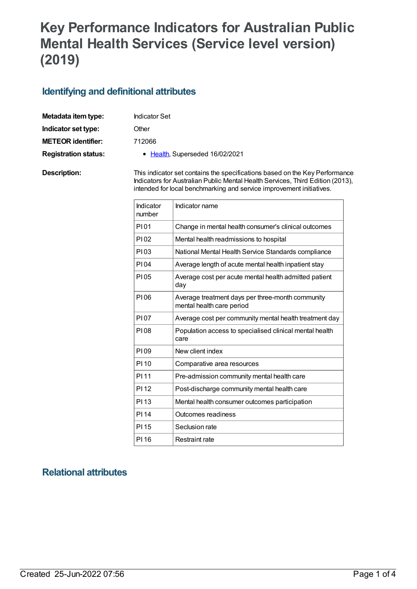# **Key Performance Indicators for Australian Public Mental Health Services (Service level version) (2019)**

# **Identifying and definitional attributes**

| Metadata item type:         | <b>Indicator Set</b>                                                                                                                                          |
|-----------------------------|---------------------------------------------------------------------------------------------------------------------------------------------------------------|
| Indicator set type:         | Other                                                                                                                                                         |
| <b>METEOR identifier:</b>   | 712066                                                                                                                                                        |
| <b>Registration status:</b> | • Health, Superseded 16/02/2021                                                                                                                               |
| Description:                | This indicator set contains the specifications based on the Key Performance<br>Indicators for Australian Public Mental Health Services, Third Edition (2013), |

| Indicator<br>number | Indicator name                                                                |
|---------------------|-------------------------------------------------------------------------------|
| P101                | Change in mental health consumer's clinical outcomes                          |
| P102                | Mental health readmissions to hospital                                        |
| P103                | National Mental Health Service Standards compliance                           |
| PI04                | Average length of acute mental health inpatient stay                          |
| PI05                | Average cost per acute mental health admitted patient<br>day                  |
| P106                | Average treatment days per three-month community<br>mental health care period |
| <b>PI07</b>         | Average cost per community mental health treatment day                        |
| P108                | Population access to specialised clinical mental health<br>care               |
| PI 09               | New client index                                                              |
| PI 10               | Comparative area resources                                                    |
| PI 11               | Pre-admission community mental health care                                    |
| PI <sub>12</sub>    | Post-discharge community mental health care                                   |
| PI <sub>13</sub>    | Mental health consumer outcomes participation                                 |
| <b>PI14</b>         | <b>Outcomes readiness</b>                                                     |
| PI 15               | Seclusion rate                                                                |
| PI 16               | Restraint rate                                                                |

intended for local benchmarking and service improvement initiatives.

# **Relational attributes**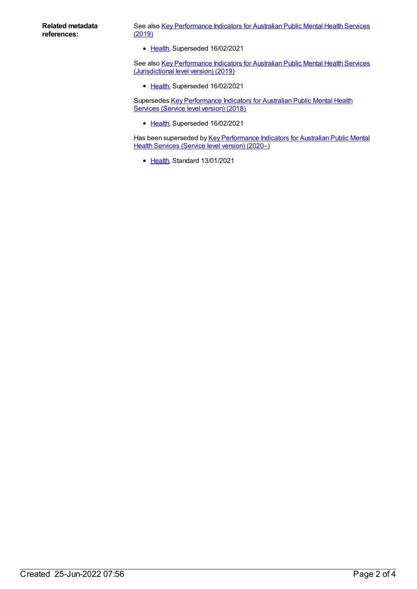See also Key [Performance](https://meteor.aihw.gov.au/content/709376) Indicators for Australian Public Mental Health Services (2019)

• [Health](https://meteor.aihw.gov.au/RegistrationAuthority/12), Superseded 16/02/2021

See also Key [Performance](https://meteor.aihw.gov.au/content/709378) Indicators for Australian Public Mental Health Services (Jurisdictional level version) (2019)

• [Health](https://meteor.aihw.gov.au/RegistrationAuthority/12), Superseded 16/02/2021

Supersedes Key [Performance](https://meteor.aihw.gov.au/content/693108) Indicators for Australian Public Mental Health Services (Service level version) (2018)

• [Health](https://meteor.aihw.gov.au/RegistrationAuthority/12), Superseded 16/02/2021

Has been superseded by Key [Performance](https://meteor.aihw.gov.au/content/720490) Indicators for Australian Public Mental Health Services (Service level version) (2020–)

• [Health](https://meteor.aihw.gov.au/RegistrationAuthority/12), Standard 13/01/2021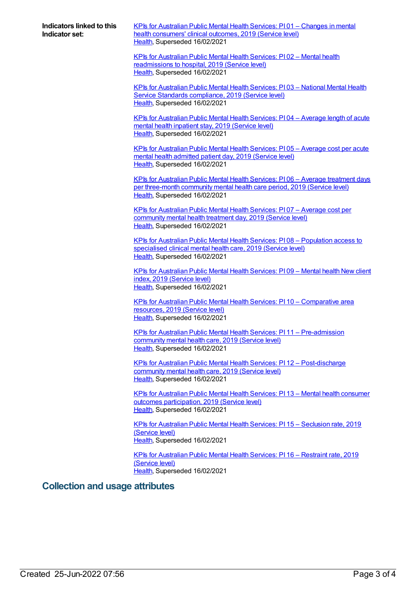**Indicators linked to this Indicator set:**

KPIs for [Australian](https://meteor.aihw.gov.au/content/712080) Public Mental Health Services: PI 01 – Changes in mental health consumers' clinical outcomes, 2019 (Service level) [Health](https://meteor.aihw.gov.au/RegistrationAuthority/12), Superseded 16/02/2021

KPIs for Australian Public Mental Health Services: PI 02 – Mental health [readmissions](https://meteor.aihw.gov.au/content/712092) to hospital, 2019 (Service level) [Health](https://meteor.aihw.gov.au/RegistrationAuthority/12), Superseded 16/02/2021

KPIs for [Australian](https://meteor.aihw.gov.au/content/712095) Public Mental Health Services: PI 03 – National Mental Health Service Standards compliance, 2019 (Service level) [Health](https://meteor.aihw.gov.au/RegistrationAuthority/12), Superseded 16/02/2021

KPIs for [Australian](https://meteor.aihw.gov.au/content/712076) Public Mental Health Services: PI 04 – Average length of acute mental health inpatient stay, 2019 (Service level) [Health](https://meteor.aihw.gov.au/RegistrationAuthority/12), Superseded 16/02/2021

KPIs for [Australian](https://meteor.aihw.gov.au/content/712072) Public Mental Health Services: PI 05 – Average cost per acute mental health admitted patient day, 2019 (Service level) [Health](https://meteor.aihw.gov.au/RegistrationAuthority/12), Superseded 16/02/2021

KPIs for Australian Public Mental Health Services: PI 06 – Average treatment days per [three-month](https://meteor.aihw.gov.au/content/712078) community mental health care period, 2019 (Service level) [Health](https://meteor.aihw.gov.au/RegistrationAuthority/12), Superseded 16/02/2021

KPIs for [Australian](https://meteor.aihw.gov.au/content/712074) Public Mental Health Services: PI 07 – Average cost per community mental health treatment day, 2019 (Service level) [Health](https://meteor.aihw.gov.au/RegistrationAuthority/12), Superseded 16/02/2021

KPIs for Australian Public Mental Health Services: PI 08 – [Population](https://meteor.aihw.gov.au/content/712098) access to specialised clinical mental health care, 2019 (Service level) [Health](https://meteor.aihw.gov.au/RegistrationAuthority/12), Superseded 16/02/2021

KPIs for [Australian](https://meteor.aihw.gov.au/content/712088) Public Mental Health Services: PI 09 – Mental health New client index, 2019 (Service level) [Health](https://meteor.aihw.gov.au/RegistrationAuthority/12), Superseded 16/02/2021

KPIs for Australian Public Mental Health Services: PI 10 – [Comparative](https://meteor.aihw.gov.au/content/712084) area resources, 2019 (Service level) [Health](https://meteor.aihw.gov.au/RegistrationAuthority/12), Superseded 16/02/2021

KPIs for Australian Public Mental Health Services: PI 11 – [Pre-admission](https://meteor.aihw.gov.au/content/712104) community mental health care, 2019 (Service level) [Health](https://meteor.aihw.gov.au/RegistrationAuthority/12), Superseded 16/02/2021

KPIs for Australian Public Mental Health Services: PI 12 – [Post-discharge](https://meteor.aihw.gov.au/content/712101) community mental health care, 2019 (Service level) [Health](https://meteor.aihw.gov.au/RegistrationAuthority/12), Superseded 16/02/2021

KPIs for Australian Public Mental Health Services: PI 13 – Mental health consumer outcomes [participation,](https://meteor.aihw.gov.au/content/712086) 2019 (Service level) [Health](https://meteor.aihw.gov.au/RegistrationAuthority/12), Superseded 16/02/2021

KPIs for [Australian](https://meteor.aihw.gov.au/content/712110) Public Mental Health Services: PI 15 – Seclusion rate, 2019 (Service level) [Health](https://meteor.aihw.gov.au/RegistrationAuthority/12), Superseded 16/02/2021

KPIs for [Australian](https://meteor.aihw.gov.au/content/712107) Public Mental Health Services: PI 16 – Restraint rate, 2019 (Service level) [Health](https://meteor.aihw.gov.au/RegistrationAuthority/12), Superseded 16/02/2021

#### **Collection and usage attributes**